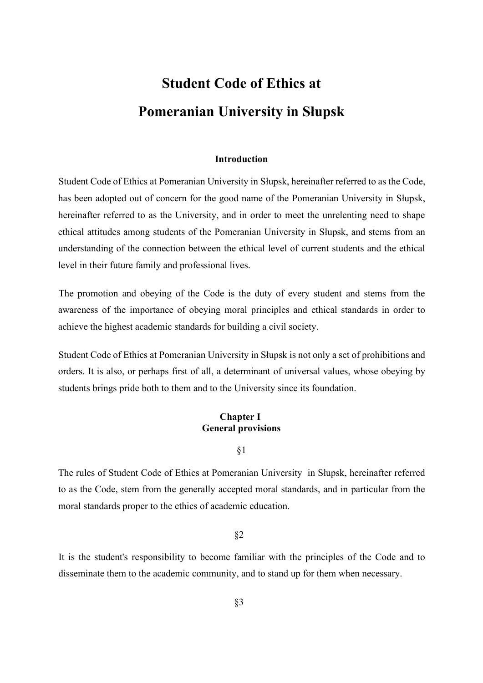# **Student Code of Ethics at Pomeranian University in Słupsk**

### **Introduction**

Student Code of Ethics at Pomeranian University in Słupsk, hereinafter referred to as the Code, has been adopted out of concern for the good name of the Pomeranian University in Słupsk, hereinafter referred to as the University, and in order to meet the unrelenting need to shape ethical attitudes among students of the Pomeranian University in Słupsk, and stems from an understanding of the connection between the ethical level of current students and the ethical level in their future family and professional lives.

The promotion and obeying of the Code is the duty of every student and stems from the awareness of the importance of obeying moral principles and ethical standards in order to achieve the highest academic standards for building a civil society.

Student Code of Ethics at Pomeranian University in Słupsk is not only a set of prohibitions and orders. It is also, or perhaps first of all, a determinant of universal values, whose obeying by students brings pride both to them and to the University since its foundation.

## **Chapter I General provisions**

§1

The rules of Student Code of Ethics at Pomeranian University in Słupsk, hereinafter referred to as the Code, stem from the generally accepted moral standards, and in particular from the moral standards proper to the ethics of academic education.

### §2

It is the student's responsibility to become familiar with the principles of the Code and to disseminate them to the academic community, and to stand up for them when necessary.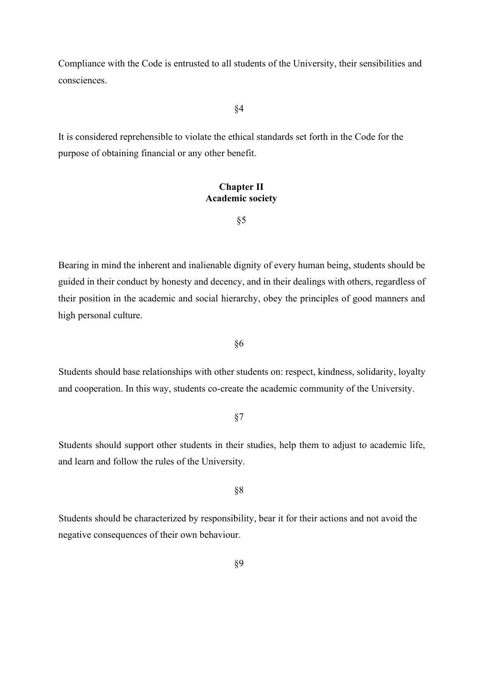Compliance with the Code is entrusted to all students of the University, their sensibilities and consciences.

### §4

It is considered reprehensible to violate the ethical standards set forth in the Code for the purpose of obtaining financial or any other benefit.

# **Chapter II Academic society**

§5

Bearing in mind the inherent and inalienable dignity of every human being, students should be guided in their conduct by honesty and decency, and in their dealings with others, regardless of their position in the academic and social hierarchy, obey the principles of good manners and high personal culture.

§6

Students should base relationships with other students on: respect, kindness, solidarity, loyalty and cooperation. In this way, students co-create the academic community of the University.

# §7

Students should support other students in their studies, help them to adjust to academic life, and learn and follow the rules of the University.

# §8

Students should be characterized by responsibility, bear it for their actions and not avoid the negative consequences of their own behaviour.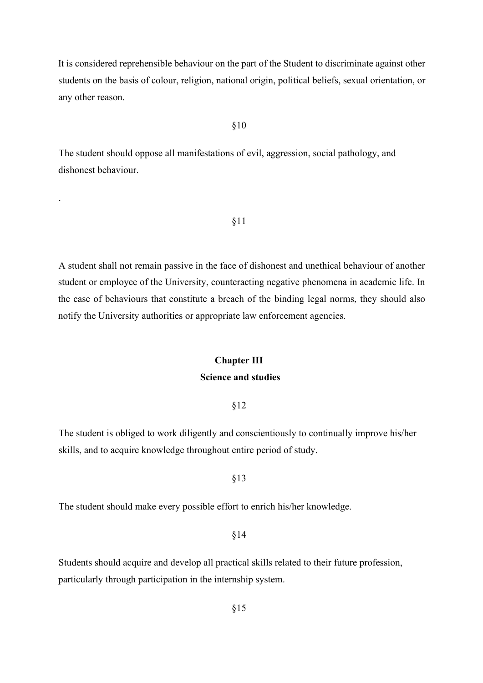It is considered reprehensible behaviour on the part of the Student to discriminate against other students on the basis of colour, religion, national origin, political beliefs, sexual orientation, or any other reason.

### §10

The student should oppose all manifestations of evil, aggression, social pathology, and dishonest behaviour.

.

### §11

A student shall not remain passive in the face of dishonest and unethical behaviour of another student or employee of the University, counteracting negative phenomena in academic life. In the case of behaviours that constitute a breach of the binding legal norms, they should also notify the University authorities or appropriate law enforcement agencies.

# **Chapter III**

# **Science and studies**

### §12

The student is obliged to work diligently and conscientiously to continually improve his/her skills, and to acquire knowledge throughout entire period of study.

# §13

The student should make every possible effort to enrich his/her knowledge.

### §14

Students should acquire and develop all practical skills related to their future profession, particularly through participation in the internship system.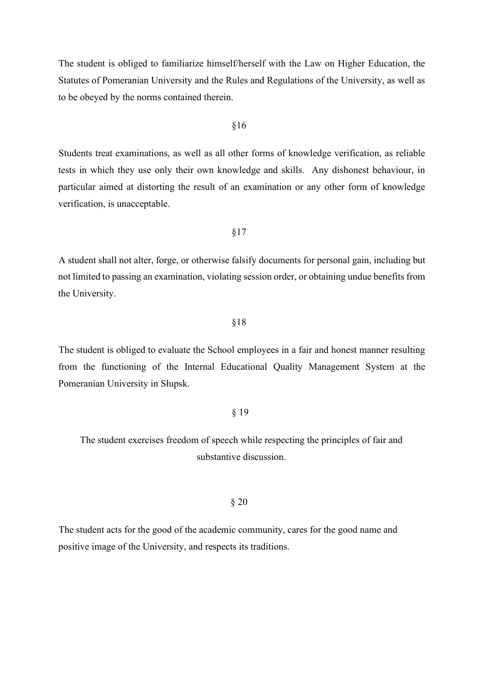The student is obliged to familiarize himself/herself with the Law on Higher Education, the Statutes of Pomeranian University and the Rules and Regulations of the University, as well as to be obeyed by the norms contained therein.

#### §16

Students treat examinations, as well as all other forms of knowledge verification, as reliable tests in which they use only their own knowledge and skills. Any dishonest behaviour, in particular aimed at distorting the result of an examination or any other form of knowledge verification, is unacceptable.

### §17

A student shall not alter, forge, or otherwise falsify documents for personal gain, including but not limited to passing an examination, violating session order, or obtaining undue benefits from the University.

### §18

The student is obliged to evaluate the School employees in a fair and honest manner resulting from the functioning of the Internal Educational Quality Management System at the Pomeranian University in Słupsk.

### § 19

# The student exercises freedom of speech while respecting the principles of fair and substantive discussion.

# § 20

The student acts for the good of the academic community, cares for the good name and positive image of the University, and respects its traditions.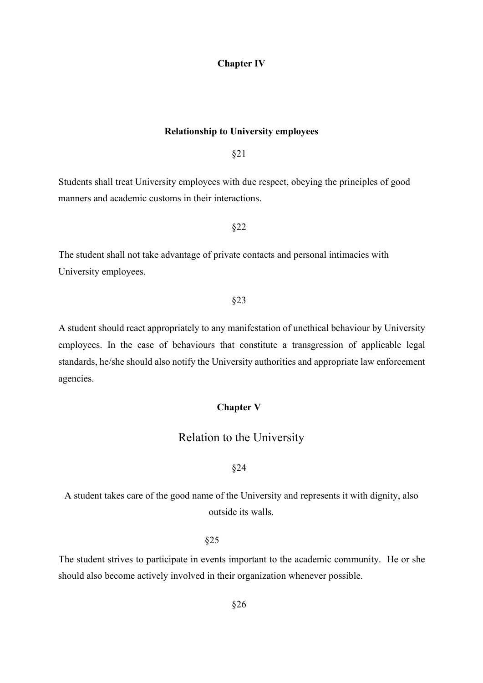### **Chapter IV**

### **Relationship to University employees**

§21

Students shall treat University employees with due respect, obeying the principles of good manners and academic customs in their interactions.

§22

The student shall not take advantage of private contacts and personal intimacies with University employees.

### §23

A student should react appropriately to any manifestation of unethical behaviour by University employees. In the case of behaviours that constitute a transgression of applicable legal standards, he/she should also notify the University authorities and appropriate law enforcement agencies.

### **Chapter V**

# Relation to the University

### §24

A student takes care of the good name of the University and represents it with dignity, also outside its walls.

# §25

The student strives to participate in events important to the academic community. He or she should also become actively involved in their organization whenever possible.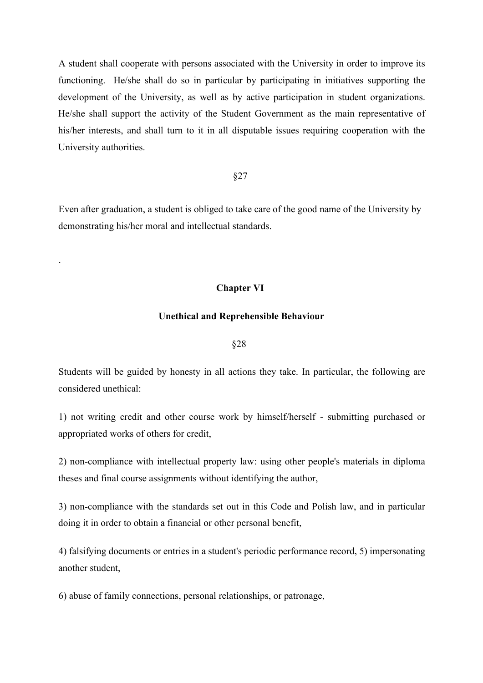A student shall cooperate with persons associated with the University in order to improve its functioning. He/she shall do so in particular by participating in initiatives supporting the development of the University, as well as by active participation in student organizations. He/she shall support the activity of the Student Government as the main representative of his/her interests, and shall turn to it in all disputable issues requiring cooperation with the University authorities.

### §27

Even after graduation, a student is obliged to take care of the good name of the University by demonstrating his/her moral and intellectual standards.

# **Chapter VI**

.

### **Unethical and Reprehensible Behaviour**

### §28

Students will be guided by honesty in all actions they take. In particular, the following are considered unethical:

1) not writing credit and other course work by himself/herself - submitting purchased or appropriated works of others for credit,

2) non-compliance with intellectual property law: using other people's materials in diploma theses and final course assignments without identifying the author,

3) non-compliance with the standards set out in this Code and Polish law, and in particular doing it in order to obtain a financial or other personal benefit,

4) falsifying documents or entries in a student's periodic performance record, 5) impersonating another student,

6) abuse of family connections, personal relationships, or patronage,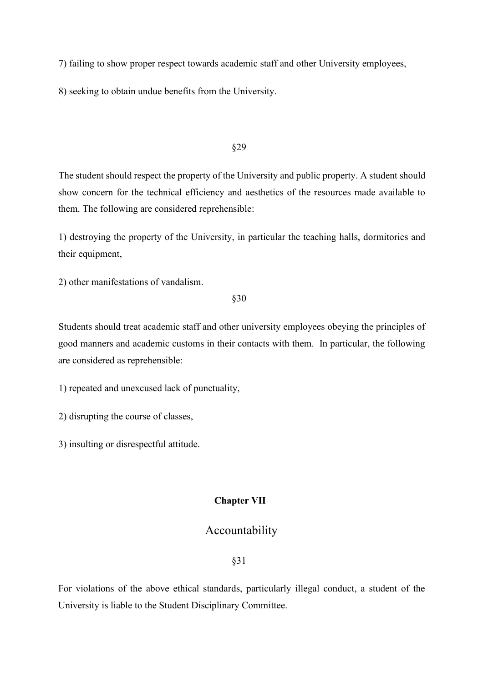7) failing to show proper respect towards academic staff and other University employees,

8) seeking to obtain undue benefits from the University.

### §29

The student should respect the property of the University and public property. A student should show concern for the technical efficiency and aesthetics of the resources made available to them. The following are considered reprehensible:

1) destroying the property of the University, in particular the teaching halls, dormitories and their equipment,

2) other manifestations of vandalism.

§30

Students should treat academic staff and other university employees obeying the principles of good manners and academic customs in their contacts with them. In particular, the following are considered as reprehensible:

1) repeated and unexcused lack of punctuality,

2) disrupting the course of classes,

3) insulting or disrespectful attitude.

# **Chapter VII**

# Accountability

§31

For violations of the above ethical standards, particularly illegal conduct, a student of the University is liable to the Student Disciplinary Committee.